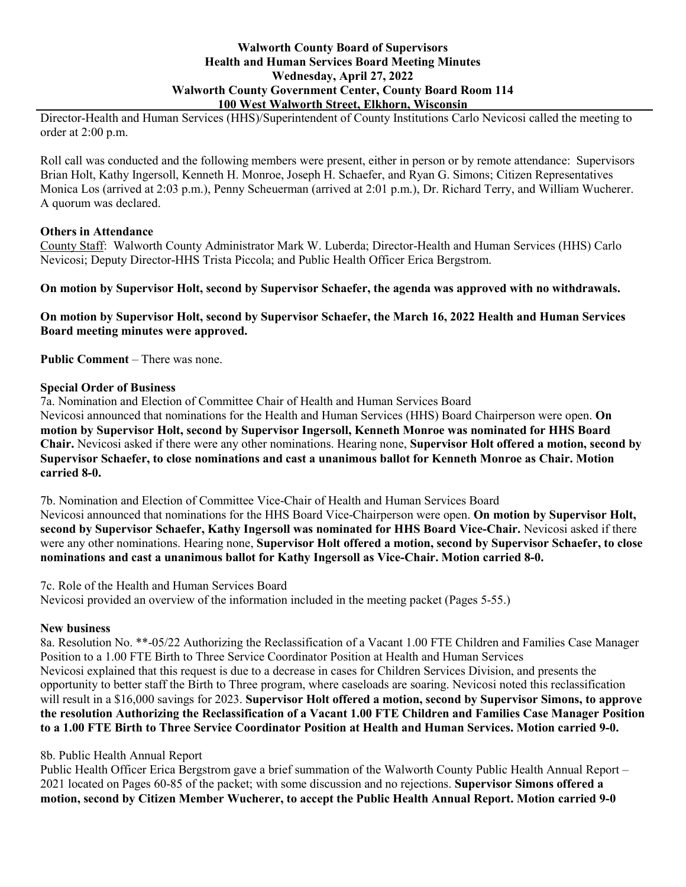## **Walworth County Board of Supervisors Health and Human Services Board Meeting Minutes Wednesday, April 27, 2022 Walworth County Government Center, County Board Room 114 100 West Walworth Street, Elkhorn, Wisconsin**

Director-Health and Human Services (HHS)/Superintendent of County Institutions Carlo Nevicosi called the meeting to order at 2:00 p.m.

Roll call was conducted and the following members were present, either in person or by remote attendance: Supervisors Brian Holt, Kathy Ingersoll, Kenneth H. Monroe, Joseph H. Schaefer, and Ryan G. Simons; Citizen Representatives Monica Los (arrived at 2:03 p.m.), Penny Scheuerman (arrived at 2:01 p.m.), Dr. Richard Terry, and William Wucherer. A quorum was declared.

## **Others in Attendance**

County Staff: Walworth County Administrator Mark W. Luberda; Director-Health and Human Services (HHS) Carlo Nevicosi; Deputy Director-HHS Trista Piccola; and Public Health Officer Erica Bergstrom.

**On motion by Supervisor Holt, second by Supervisor Schaefer, the agenda was approved with no withdrawals.**

**On motion by Supervisor Holt, second by Supervisor Schaefer, the March 16, 2022 Health and Human Services Board meeting minutes were approved.**

**Public Comment** – There was none.

## **Special Order of Business**

7a. Nomination and Election of Committee Chair of Health and Human Services Board Nevicosi announced that nominations for the Health and Human Services (HHS) Board Chairperson were open. **On motion by Supervisor Holt, second by Supervisor Ingersoll, Kenneth Monroe was nominated for HHS Board Chair.** Nevicosi asked if there were any other nominations. Hearing none, **Supervisor Holt offered a motion, second by Supervisor Schaefer, to close nominations and cast a unanimous ballot for Kenneth Monroe as Chair. Motion carried 8-0.**

7b. Nomination and Election of Committee Vice-Chair of Health and Human Services Board Nevicosi announced that nominations for the HHS Board Vice-Chairperson were open. **On motion by Supervisor Holt, second by Supervisor Schaefer, Kathy Ingersoll was nominated for HHS Board Vice-Chair.** Nevicosi asked if there were any other nominations. Hearing none, **Supervisor Holt offered a motion, second by Supervisor Schaefer, to close nominations and cast a unanimous ballot for Kathy Ingersoll as Vice-Chair. Motion carried 8-0.**

7c. Role of the Health and Human Services Board Nevicosi provided an overview of the information included in the meeting packet (Pages 5-55.)

# **New business**

8a. Resolution No. \*\*-05/22 Authorizing the Reclassification of a Vacant 1.00 FTE Children and Families Case Manager Position to a 1.00 FTE Birth to Three Service Coordinator Position at Health and Human Services Nevicosi explained that this request is due to a decrease in cases for Children Services Division, and presents the opportunity to better staff the Birth to Three program, where caseloads are soaring. Nevicosi noted this reclassification will result in a \$16,000 savings for 2023. **Supervisor Holt offered a motion, second by Supervisor Simons, to approve the resolution Authorizing the Reclassification of a Vacant 1.00 FTE Children and Families Case Manager Position to a 1.00 FTE Birth to Three Service Coordinator Position at Health and Human Services. Motion carried 9-0.**

# 8b. Public Health Annual Report

Public Health Officer Erica Bergstrom gave a brief summation of the Walworth County Public Health Annual Report – 2021 located on Pages 60-85 of the packet; with some discussion and no rejections. **Supervisor Simons offered a motion, second by Citizen Member Wucherer, to accept the Public Health Annual Report. Motion carried 9-0**